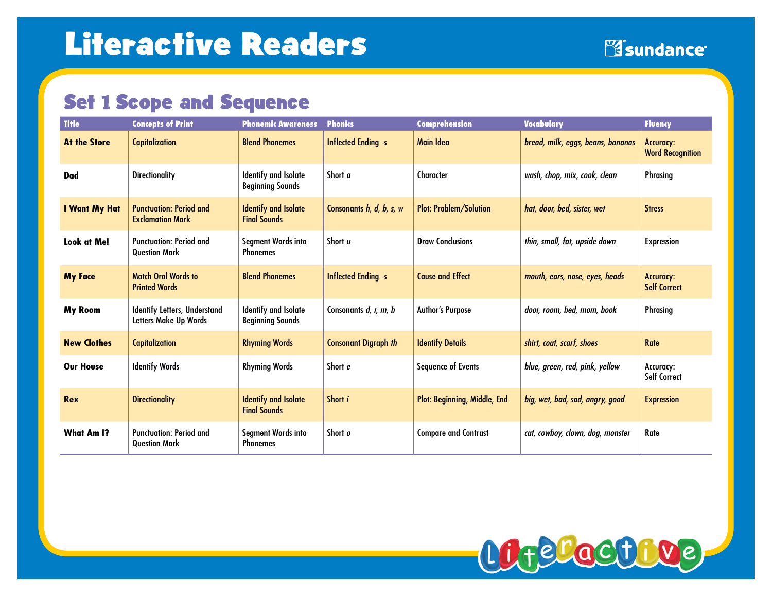## **Set 1 Scope and Sequence**

| <b>Title</b>        | <b>Concepts of Print</b>                                     | <b>Phonemic Awareness</b>                              | <b>Phonics</b>              | Comprehension                 | <b>Vocabulary</b>                 | <b>Fluency</b>                       |
|---------------------|--------------------------------------------------------------|--------------------------------------------------------|-----------------------------|-------------------------------|-----------------------------------|--------------------------------------|
| <b>At the Store</b> | <b>Capitalization</b>                                        | <b>Blend Phonemes</b>                                  | <b>Inflected Ending -s</b>  | Main Idea                     | bread, milk, eggs, beans, bananas | Accuracy:<br><b>Word Recognition</b> |
| Dad                 | <b>Directionality</b>                                        | <b>Identify and Isolate</b><br><b>Beginning Sounds</b> | Short a                     | Character                     | wash, chop, mix, cook, clean      | <b>Phrasing</b>                      |
| I Want My Hat       | <b>Punctuation: Period and</b><br><b>Exclamation Mark</b>    | <b>Identify and Isolate</b><br><b>Final Sounds</b>     | Consonants h, d, b, s, w    | <b>Plot: Problem/Solution</b> | hat, door, bed, sister, wet       | <b>Stress</b>                        |
| Look at Me!         | <b>Punctuation: Period and</b><br><b>Question Mark</b>       | Segment Words into<br><b>Phonemes</b>                  | Short u                     | <b>Draw Conclusions</b>       | thin, small, fat, upside down     | <b>Expression</b>                    |
| <b>My Face</b>      | <b>Match Oral Words to</b><br><b>Printed Words</b>           | <b>Blend Phonemes</b>                                  | <b>Inflected Ending -s</b>  | <b>Cause and Effect</b>       | mouth, ears, nose, eyes, heads    | Accuracy:<br><b>Self Correct</b>     |
| <b>My Room</b>      | <b>Identify Letters, Understand</b><br>Letters Make Up Words | <b>Identify and Isolate</b><br><b>Beginning Sounds</b> | Consonants d, r, m, b       | <b>Author's Purpose</b>       | door, room, bed, mom, book        | <b>Phrasing</b>                      |
| <b>New Clothes</b>  | <b>Capitalization</b>                                        | <b>Rhyming Words</b>                                   | <b>Consonant Digraph th</b> | <b>Identify Details</b>       | shirt, coat, scarf, shoes         | Rate                                 |
| <b>Our House</b>    | <b>Identify Words</b>                                        | <b>Rhyming Words</b>                                   | Short e                     | <b>Sequence of Events</b>     | blue, green, red, pink, yellow    | Accuracy:<br><b>Self Correct</b>     |
| <b>Rex</b>          | <b>Directionality</b>                                        | <b>Identify and Isolate</b><br><b>Final Sounds</b>     | Short i                     | Plot: Beginning, Middle, End  | big, wet, bad, sad, angry, good   | <b>Expression</b>                    |
| <b>What Am I?</b>   | <b>Punctuation: Period and</b><br><b>Question Mark</b>       | Segment Words into<br><b>Phonemes</b>                  | Short o                     | <b>Compare and Contrast</b>   | cat, cowboy, clown, dog, monster  | Rate                                 |

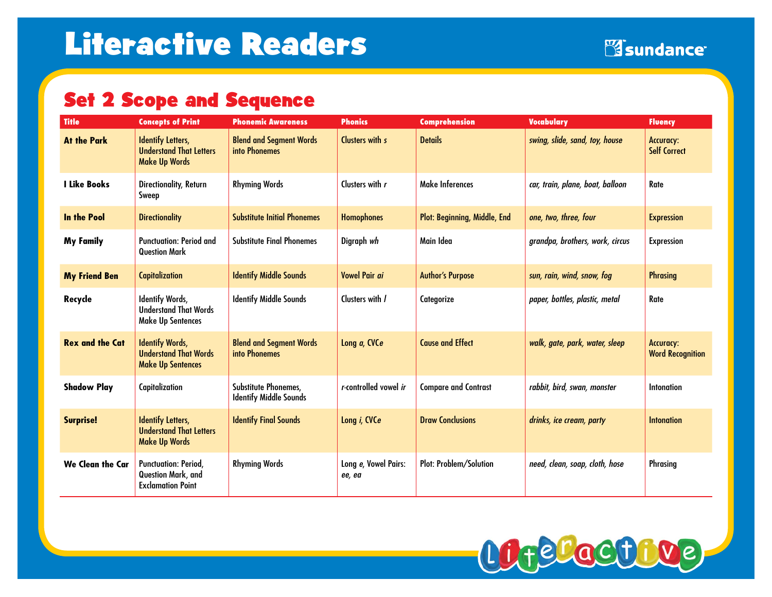# Set 2 Scope and Sequence

| <b>Title</b>            | <b>Concepts of Print</b>                                                           | <b>Phonemic Awareness</b>                             | <b>Phonics</b>                 | <b>Comprehension</b>                | <b>Vocabulary</b>                | <b>Fluency</b>                              |
|-------------------------|------------------------------------------------------------------------------------|-------------------------------------------------------|--------------------------------|-------------------------------------|----------------------------------|---------------------------------------------|
| <b>At the Park</b>      | <b>Identify Letters,</b><br><b>Understand That Letters</b><br><b>Make Up Words</b> | <b>Blend and Segment Words</b><br>into Phonemes       | Clusters with s                | <b>Details</b>                      | swing, slide, sand, toy, house   | <b>Accuracy:</b><br><b>Self Correct</b>     |
| <b>I Like Books</b>     | Directionality, Return<br>Sweep                                                    | <b>Rhyming Words</b>                                  | Clusters with r                | <b>Make Inferences</b>              | car, train, plane, boat, balloon | Rate                                        |
| <b>In the Pool</b>      | <b>Directionality</b>                                                              | <b>Substitute Initial Phonemes</b>                    | <b>Homophones</b>              | <b>Plot: Beginning, Middle, End</b> | one, two, three, four            | <b>Expression</b>                           |
| <b>My Family</b>        | <b>Punctuation: Period and</b><br><b>Question Mark</b>                             | <b>Substitute Final Phonemes</b>                      | Digraph wh                     | Main Idea                           | grandpa, brothers, work, circus  | <b>Expression</b>                           |
| <b>My Friend Ben</b>    | <b>Capitalization</b>                                                              | <b>Identify Middle Sounds</b>                         | <b>Vowel Pair ai</b>           | <b>Author's Purpose</b>             | sun, rain, wind, snow, fog       | <b>Phrasing</b>                             |
| Recycle                 | <b>Identify Words,</b><br><b>Understand That Words</b><br><b>Make Up Sentences</b> | <b>Identify Middle Sounds</b>                         | Clusters with /                | Categorize                          | paper, bottles, plastic, metal   | Rate                                        |
| <b>Rex and the Cat</b>  | <b>Identify Words,</b><br><b>Understand That Words</b><br><b>Make Up Sentences</b> | <b>Blend and Segment Words</b><br>into Phonemes       | Long a, CVCe                   | <b>Cause and Effect</b>             | walk, gate, park, water, sleep   | <b>Accuracy:</b><br><b>Word Recognition</b> |
| <b>Shadow Play</b>      | Capitalization                                                                     | Substitute Phonemes,<br><b>Identify Middle Sounds</b> | r-controlled vowel ir          | <b>Compare and Contrast</b>         | rabbit, bird, swan, monster      | Intonation                                  |
| <b>Surprise!</b>        | <b>Identify Letters,</b><br><b>Understand That Letters</b><br><b>Make Up Words</b> | <b>Identify Final Sounds</b>                          | Long i, CVCe                   | <b>Draw Conclusions</b>             | drinks, ice cream, party         | <b>Intonation</b>                           |
| <b>We Clean the Car</b> | <b>Punctuation: Period,</b><br>Question Mark, and<br><b>Exclamation Point</b>      | <b>Rhyming Words</b>                                  | Long e, Vowel Pairs:<br>ee, ea | <b>Plot: Problem/Solution</b>       | need, clean, soap, cloth, hose   | Phrasing                                    |

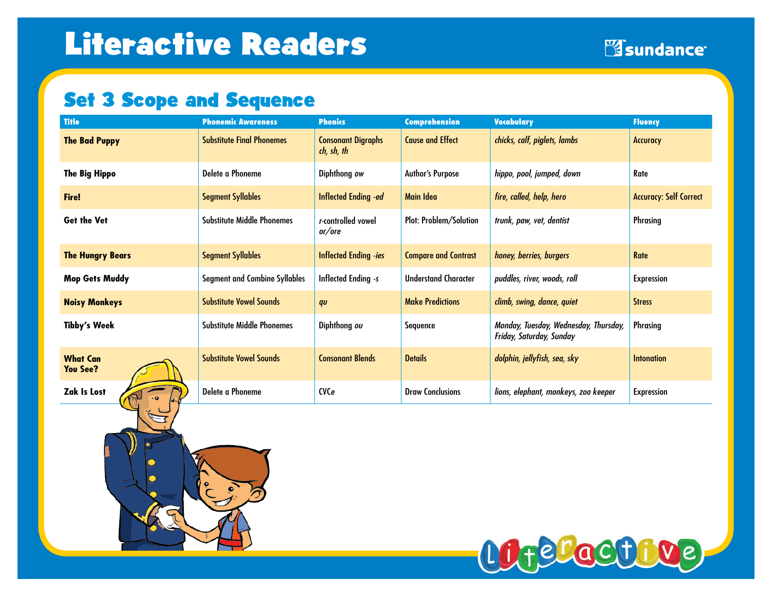# Set 3 Scope and Sequence

| <b>Title</b>                       | <b>Phonemic Awareness</b>            | <b>Phonics</b>                          | <b>Comprehension</b>          | <b>Vocabulary</b>                                                 | <b>Fluency</b>                |
|------------------------------------|--------------------------------------|-----------------------------------------|-------------------------------|-------------------------------------------------------------------|-------------------------------|
| <b>The Bad Puppy</b>               | <b>Substitute Final Phonemes</b>     | <b>Consonant Digraphs</b><br>ch, sh, th | <b>Cause and Effect</b>       | chicks, calf, piglets, lambs                                      | <b>Accuracy</b>               |
| <b>The Big Hippo</b>               | Delete a Phoneme                     | Diphthong ow                            | Author's Purpose              | hippo, pool, jumped, down                                         | Rate                          |
| <b>Fire!</b>                       | <b>Segment Syllables</b>             | <b>Inflected Ending -ed</b>             | Main Idea                     | fire, called, help, hero                                          | <b>Accuracy: Self Correct</b> |
| <b>Get the Vet</b>                 | Substitute Middle Phonemes           | r-controlled vowel<br>or/ore            | <b>Plot: Problem/Solution</b> | trunk, paw, vet, dentist                                          | <b>Phrasing</b>               |
| <b>The Hungry Bears</b>            | <b>Segment Syllables</b>             | <b>Inflected Ending -ies</b>            | <b>Compare and Contrast</b>   | honey, berries, burgers                                           | <b>Rate</b>                   |
| <b>Mop Gets Muddy</b>              | <b>Segment and Combine Syllables</b> | <b>Inflected Ending -s</b>              | <b>Understand Character</b>   | puddles, river, woods, roll                                       | <b>Expression</b>             |
| <b>Noisy Monkeys</b>               | <b>Substitute Vowel Sounds</b>       | qu                                      | <b>Make Predictions</b>       | climb, swing, dance, quiet                                        | <b>Stress</b>                 |
| <b>Tibby's Week</b>                | <b>Substitute Middle Phonemes</b>    | Diphthong ou                            | Sequence                      | Monday, Tuesday, Wednesday, Thursday,<br>Friday, Saturday, Sunday | Phrasing                      |
| <b>What Can</b><br><b>You See?</b> | <b>Substitute Vowel Sounds</b>       | <b>Consonant Blends</b>                 | <b>Details</b>                | dolphin, jellyfish, sea, sky                                      | Intonation                    |
| <b>Zak Is Lost</b>                 | Delete a Phoneme                     | <b>CVCe</b>                             | <b>Draw Conclusions</b>       | lions, elephant, monkeys, zoo keeper                              | <b>Expression</b>             |

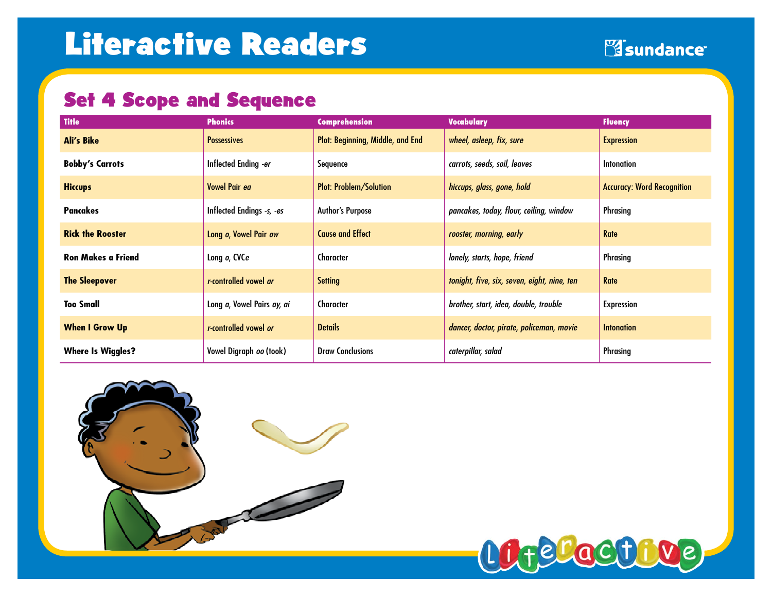## Set 4 Scope and Sequence

| <b>Title</b>              | <b>Phonics</b>             | <b>Comprehension</b>             | <b>Vocabulary</b>                           | <b>Fluency</b>                    |
|---------------------------|----------------------------|----------------------------------|---------------------------------------------|-----------------------------------|
| <b>Ali's Bike</b>         | <b>Possessives</b>         | Plot: Beginning, Middle, and End | wheel, asleep, fix, sure                    | <b>Expression</b>                 |
| <b>Bobby's Carrots</b>    | Inflected Ending -er       | Sequence                         | carrots, seeds, soil, leaves                | <b>Intonation</b>                 |
| <b>Hiccups</b>            | Vowel Pair ea              | <b>Plot: Problem/Solution</b>    | hiccups, glass, gone, hold                  | <b>Accuracy: Word Recognition</b> |
| Pancakes                  | Inflected Endings -s, -es  | <b>Author's Purpose</b>          | pancakes, today, flour, ceiling, window     | Phrasing                          |
| <b>Rick the Rooster</b>   | Long o, Vowel Pair ow      | <b>Cause and Effect</b>          | rooster, morning, early                     | Rate                              |
| <b>Ron Makes a Friend</b> | Long o, CVCe               | Character                        | lonely, starts, hope, friend                | Phrasing                          |
| <b>The Sleepover</b>      | r-controlled vowel ar      | <b>Setting</b>                   | tonight, five, six, seven, eight, nine, ten | <b>Rate</b>                       |
| Too Small                 | Long a, Vowel Pairs ay, ai | Character                        | brother, start, idea, double, trouble       | <b>Expression</b>                 |
| <b>When I Grow Up</b>     | r-controlled vowel or      | <b>Details</b>                   | dancer, doctor, pirate, policeman, movie    | <b>Intonation</b>                 |
| <b>Where Is Wiggles?</b>  | Vowel Digraph oo (took)    | <b>Draw Conclusions</b>          | caterpillar, salad                          | Phrasing                          |